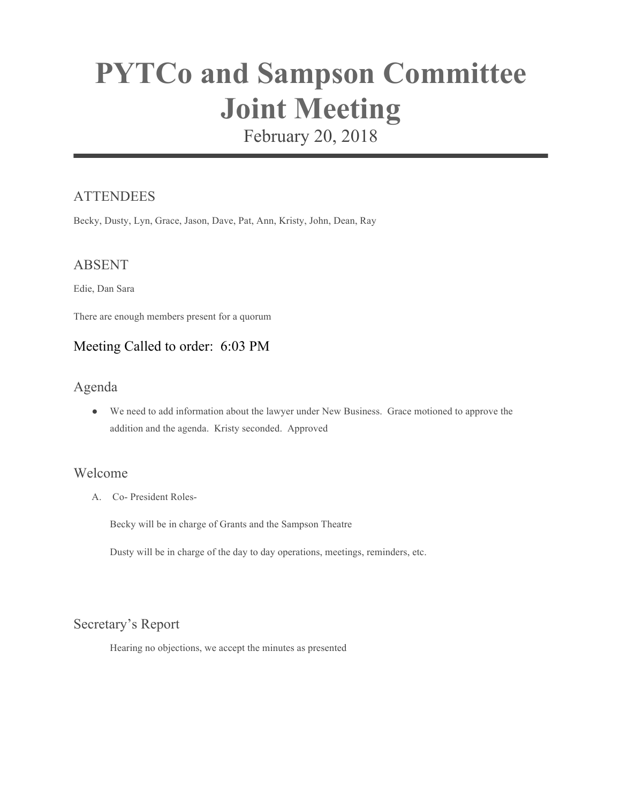# **PYTCo and Sampson Committee Joint Meeting**

February 20, 2018

# **ATTENDEES**

Becky, Dusty, Lyn, Grace, Jason, Dave, Pat, Ann, Kristy, John, Dean, Ray

### ABSENT

Edie, Dan Sara

There are enough members present for a quorum

# Meeting Called to order: 6:03 PM

# Agenda

● We need to add information about the lawyer under New Business. Grace motioned to approve the addition and the agenda. Kristy seconded. Approved

# Welcome

A. Co- President Roles-

Becky will be in charge of Grants and the Sampson Theatre

Dusty will be in charge of the day to day operations, meetings, reminders, etc.

#### Secretary's Report

Hearing no objections, we accept the minutes as presented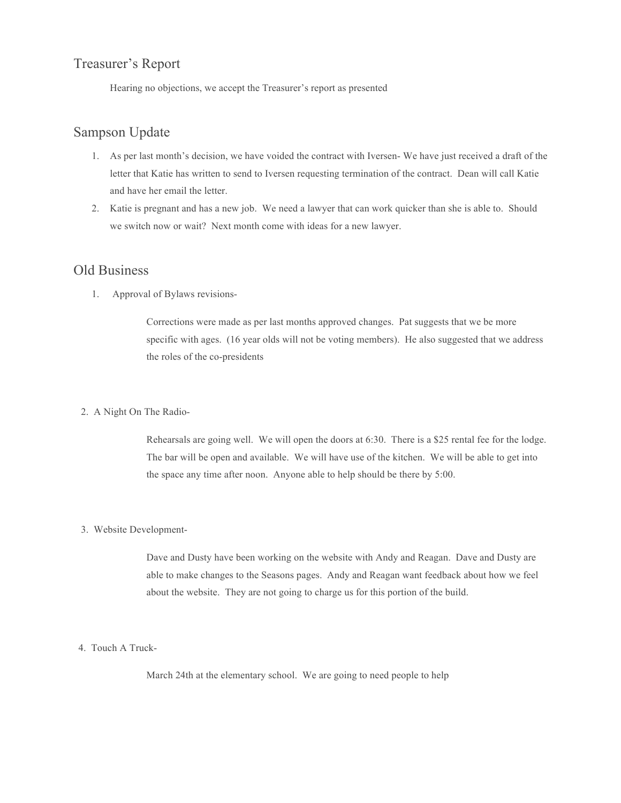# Treasurer's Report

Hearing no objections, we accept the Treasurer's report as presented

#### Sampson Update

- 1. As per last month's decision, we have voided the contract with Iversen- We have just received a draft of the letter that Katie has written to send to Iversen requesting termination of the contract. Dean will call Katie and have her email the letter.
- 2. Katie is pregnant and has a new job. We need a lawyer that can work quicker than she is able to. Should we switch now or wait? Next month come with ideas for a new lawyer.

#### Old Business

1. Approval of Bylaws revisions-

Corrections were made as per last months approved changes. Pat suggests that we be more specific with ages. (16 year olds will not be voting members). He also suggested that we address the roles of the co-presidents

2. A Night On The Radio-

Rehearsals are going well. We will open the doors at 6:30. There is a \$25 rental fee for the lodge. The bar will be open and available. We will have use of the kitchen. We will be able to get into the space any time after noon. Anyone able to help should be there by 5:00.

#### 3. Website Development-

Dave and Dusty have been working on the website with Andy and Reagan. Dave and Dusty are able to make changes to the Seasons pages. Andy and Reagan want feedback about how we feel about the website. They are not going to charge us for this portion of the build.

4. Touch A Truck-

March 24th at the elementary school. We are going to need people to help